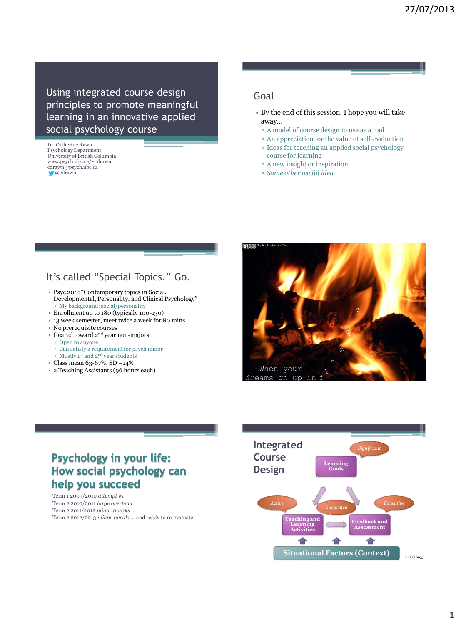Using integrated course design principles to promote meaningful learning in an innovative applied social psychology course

Dr. Catherine Rawn Psychology Department University of British Columbia www.psych.ubc.ca/~cdrawn cdrawn@psych.ubc.ca  $\bullet$  @cdrawn

#### Goal

- By the end of this session, I hope you will take away…
	- A model of course design to use as a tool
	- An appreciation for the value of self-evaluation ▫ Ideas for teaching an applied social psychology
	- course for learning
	- A new insight or inspiration
	- *Some other useful idea*

### It's called "Special Topics." Go.

- Psyc 208: "Contemporary topics in Social, Developmental, Personality, and Clinical Psychology" ▫ My background: social/personality
- Enrollment up to 180 (typically 100-130)
- 13 week semester, meet twice a week for 80 mins
- No prerequisite courses
- Geared toward 2nd year non-majors
- Open to anyone
- Can satisfy a requirement for psych minor
- Mostly 1st and 2nd year students
- Class mean 63-67%, SD ~14%
- 2 Teaching Assistants (96 hours each)



# **Psychology in your life:** How social psychology can help you succeed

Term 1 2009/2010 *attempt #1* Term 2 2010/2011 *large overhaul* Term 2 2011/2012 *minor tweaks* Term 2 2012/2013 *minor tweaks*… and ready to re-evaluate

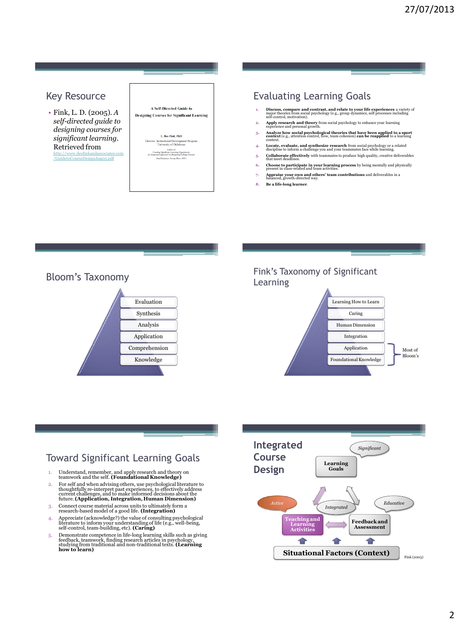### Key Resource

• Fink, L. D. (2005). *A self-directed guide to designing courses for significant learning*. Retrieved from [http://www.deefinkandassociates.com](http://www.deefinkandassociates.com/GuidetoCourseDesignAug05.pdf)

[/GuidetoCourseDesignAug05.pdf](http://www.deefinkandassociates.com/GuidetoCourseDesignAug05.pdf)

| <b>A Self-Directed Guide to</b><br><b>Designing Courses for Significant Learning</b>                            |
|-----------------------------------------------------------------------------------------------------------------|
|                                                                                                                 |
| L. Dee Fink, PhD                                                                                                |
| Director, Instructional Development Program<br>University of Oklahoma                                           |
| Asplaze of:<br>Creating Significant Learning Experiment:<br>An Integrated Approach to Designing College Courses |
| (San Francisco: Jossey-Bass, 2003)                                                                              |
|                                                                                                                 |
|                                                                                                                 |
|                                                                                                                 |

## Evaluating Learning Goals

- **1. Discuss, compare and contrast, and relate to your life experiences** a variety of major theories from social psychology (e.g., group dynamics, self processes including self-control, motivation).
- **2. Apply research and theory** from social psychology to enhance your learning experience and personal growth.
- **3. Analyze how social psychological theories that have been applied to a sport context** (e.g., attention control, flow, team cohesion) **can be reapplied** to a learning
- context. **4. Locate, evaluate, and synthesize research** from social psychology or a related discipline to inform a challenge you and your teammates face while learning.
- **5. Collaborate effectively** with teammates to produce high quality, creative deliverables that meet deadlines.
- **6. Choose to participate in your learning process** by being mentally and physically present in class-related and team activities. **7. Appraise your own and others' team contributions** and deliverables in a balanced, growth-directed way.
- **8. Be a life-long learner**.

Bloom's Taxonomy



#### Fink's Taxonomy of Significant Learning



## Toward Significant Learning Goals

- 1. Understand, remember, and apply research and theory on teamwork and the self. **(Foundational Knowledge)**
- 2. For self and when advising others, use psychological literature to<br>thoughtfully re-interpret past experiences, to effectively address<br>current challenges, and to make informed decisions about the<br>future. (Application, In
- 3. Connect course material across units to ultimately form a research-based model of a good life. **(Integration)**
- 4. Appreciate (acknowledge?) the value of consulting psychological literature to inform your understanding of life (e.g., well-being, self-control, team-building, etc). **(Caring)**
- 5. Demonstrate competence in life-long learning skills such as giving feedback, teamwork, finding research articles in psychology, studying from traditional and non-traditional texts. **(Learning how to learn)**

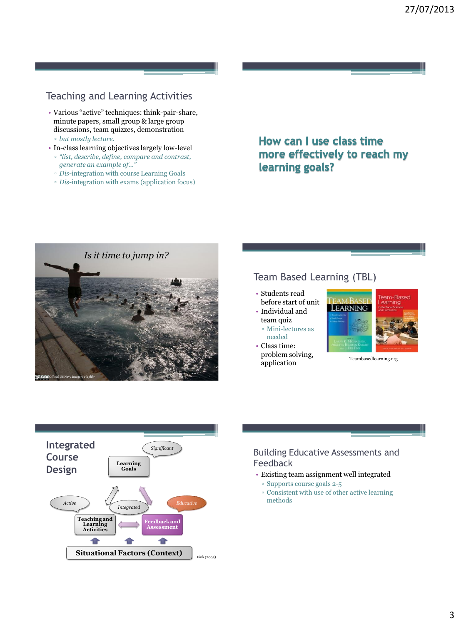# Teaching and Learning Activities

- Various "active" techniques: think-pair-share, minute papers, small group & large group discussions, team quizzes, demonstration ▫ *but mostly lecture*.
- In-class learning objectives largely low-level
- *"list, describe, define, compare and contrast, generate an example of…"*
- *Dis-*integration with course Learning Goals
- *Dis-*integration with exams (application focus)

# How can I use class time more effectively to reach my learning goals?



### Team Based Learning (TBL)

- Students read before start of unit
- Individual and team quiz
	- Mini-lectures as needed
- Class time: problem solving, problem solving, Teambasedlearning.org<br>application





#### Building Educative Assessments and Feedback

- Existing team assignment well integrated
	- Supports course goals 2-5
	- Consistent with use of other active learning methods